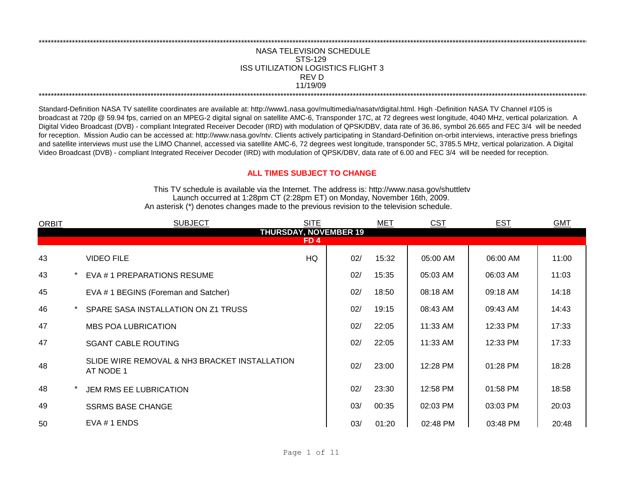## NASA TELEVISION SCHEDULE STS-129 REV D 11/19/09 \*\*\*\*\*\*\*\*\*\*\*\*\*\*\*\*\*\*\*\*\*\*\*\*\*\*\*\*\*\*\*\*\*\*\*\*\*\*\*\*\*\*\*\*\*\*\*\*\*\*\*\*\*\*\*\*\*\*\*\*\*\*\*\*\*\*\*\*\*\*\*\*\*\*\*\*\*\*\*\*\*\*\*\*\*\*\*\*\*\*\*\*\*\*\*\*\*\*\*\*\*\*\*\*\*\*\*\*\*\*\*\*\*\*\*\*\*\*\*\*\*\*\*\*\*\*\*\*\*\*\*\*\*\*\*\*\*\*\*\*\*\*\*\*\*\*\*\*\*\*\*\*\*\*\*\*\*\*\*\*\*\*\*\*\*\*\*\*\*\*\*\*\*\*\*\*\*\*\*\*\*\*\*\*\* ISS UTILIZATION LOGISTICS FLIGHT 3

\*\*\*\*\*\*\*\*\*\*\*\*\*\*\*\*\*\*\*\*\*\*\*\*\*\*\*\*\*\*\*\*\*\*\*\*\*\*\*\*\*\*\*\*\*\*\*\*\*\*\*\*\*\*\*\*\*\*\*\*\*\*\*\*\*\*\*\*\*\*\*\*\*\*\*\*\*\*\*\*\*\*\*\*\*\*\*\*\*\*\*\*\*\*\*\*\*\*\*\*\*\*\*\*\*\*\*\*\*\*\*\*\*\*\*\*\*\*\*\*\*\*\*\*\*\*\*\*\*\*\*\*\*\*\*\*\*\*\*\*\*\*\*\*\*\*\*\*\*\*\*\*\*\*\*\*\*\*\*\*\*\*\*\*\*\*\*\*\*\*\*\*\*\*\*\*\*\*\*\*\*\*\*\*\*

Standard-Definition NASA TV satellite coordinates are available at: http://www1.nasa.gov/multimedia/nasatv/digital.html. High -Definition NASA TV Channel #105 is broadcast at 720p @ 59.94 fps, carried on an MPEG-2 digital signal on satellite AMC-6, Transponder 17C, at 72 degrees west longitude, 4040 MHz, vertical polarization. A Digital Video Broadcast (DVB) - compliant Integrated Receiver Decoder (IRD) with modulation of QPSK/DBV, data rate of 36.86, symbol 26.665 and FEC 3/4 will be needed for reception. Mission Audio can be accessed at: http://www.nasa.gov/ntv. Clients actively participating in Standard-Definition on-orbit interviews, interactive press briefings and satellite interviews must use the LIMO Channel, accessed via satellite AMC-6, 72 degrees west longitude, transponder 5C, 3785.5 MHz, vertical polarization. A Digital Video Broadcast (DVB) - compliant Integrated Receiver Decoder (IRD) with modulation of QPSK/DBV, data rate of 6.00 and FEC 3/4 will be needed for reception.

## **ALL TIMES SUBJECT TO CHANGE**

Launch occurred at 1:28pm CT (2:28pm ET) on Monday, November 16th, 2009. An asterisk (\*) denotes changes made to the previous revision to the television schedule. This TV schedule is available via the Internet. The address is: http://www.nasa.gov/shuttletv

| <b>ORBIT</b> | <b>SUBJECT</b>                                             | <b>SITE</b>     |     | <b>MET</b> | <b>CST</b> | <b>EST</b> | <b>GMT</b> |
|--------------|------------------------------------------------------------|-----------------|-----|------------|------------|------------|------------|
|              | <b>THURSDAY, NOVEMBER 19</b>                               |                 |     |            |            |            |            |
|              |                                                            | FD <sub>4</sub> |     |            |            |            |            |
| 43           | <b>VIDEO FILE</b>                                          | HQ              | 02/ | 15:32      | 05:00 AM   | 06:00 AM   | 11:00      |
| 43           | EVA #1 PREPARATIONS RESUME                                 |                 | 02/ | 15:35      | 05:03 AM   | 06:03 AM   | 11:03      |
| 45           | EVA #1 BEGINS (Foreman and Satcher)                        |                 | 02/ | 18:50      | 08:18 AM   | 09:18 AM   | 14:18      |
| 46           | SPARE SASA INSTALLATION ON Z1 TRUSS                        |                 | 02/ | 19:15      | 08:43 AM   | 09:43 AM   | 14:43      |
| 47           | <b>MBS POA LUBRICATION</b>                                 |                 | 02/ | 22:05      | 11:33 AM   | 12:33 PM   | 17:33      |
| 47           | <b>SGANT CABLE ROUTING</b>                                 |                 | 02/ | 22:05      | 11:33 AM   | 12:33 PM   | 17:33      |
| 48           | SLIDE WIRE REMOVAL & NH3 BRACKET INSTALLATION<br>AT NODE 1 |                 | 02/ | 23:00      | 12:28 PM   | $01:28$ PM | 18:28      |
| 48           | JEM RMS EE LUBRICATION                                     |                 | 02/ | 23:30      | 12:58 PM   | 01:58 PM   | 18:58      |
| 49           | <b>SSRMS BASE CHANGE</b>                                   |                 | 03/ | 00:35      | 02:03 PM   | 03:03 PM   | 20:03      |
| 50           | EVA # 1 ENDS                                               |                 | 03/ | 01:20      | 02:48 PM   | 03:48 PM   | 20:48      |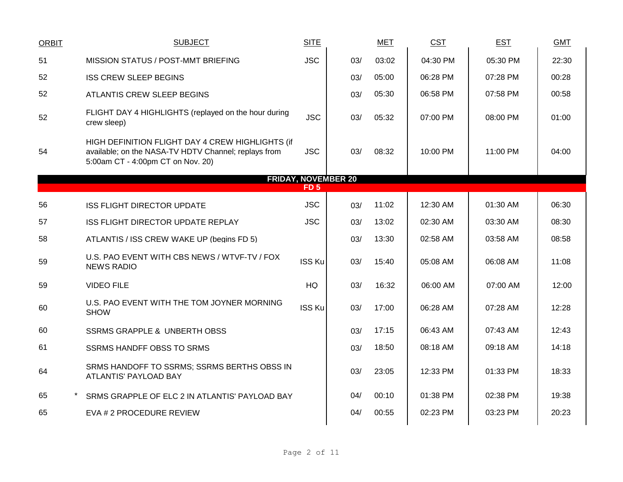| <b>ORBIT</b> | <b>SUBJECT</b>                                                                                                                                | <b>SITE</b>     |                            | <b>MET</b> | CST      | <b>EST</b> | <b>GMT</b> |
|--------------|-----------------------------------------------------------------------------------------------------------------------------------------------|-----------------|----------------------------|------------|----------|------------|------------|
| 51           | MISSION STATUS / POST-MMT BRIEFING                                                                                                            | <b>JSC</b>      | 03/                        | 03:02      | 04:30 PM | 05:30 PM   | 22:30      |
| 52           | <b>ISS CREW SLEEP BEGINS</b>                                                                                                                  |                 | 03/                        | 05:00      | 06:28 PM | 07:28 PM   | 00:28      |
| 52           | ATLANTIS CREW SLEEP BEGINS                                                                                                                    |                 | 03/                        | 05:30      | 06:58 PM | 07:58 PM   | 00:58      |
| 52           | FLIGHT DAY 4 HIGHLIGHTS (replayed on the hour during<br>crew sleep)                                                                           | <b>JSC</b>      | 03/                        | 05:32      | 07:00 PM | 08:00 PM   | 01:00      |
| 54           | HIGH DEFINITION FLIGHT DAY 4 CREW HIGHLIGHTS (if<br>available; on the NASA-TV HDTV Channel; replays from<br>5:00am CT - 4:00pm CT on Nov. 20) | <b>JSC</b>      | 03/                        | 08:32      | 10:00 PM | 11:00 PM   | 04:00      |
|              |                                                                                                                                               | FD <sub>5</sub> | <b>FRIDAY, NOVEMBER 20</b> |            |          |            |            |
|              |                                                                                                                                               |                 |                            |            |          |            |            |
| 56           | <b>ISS FLIGHT DIRECTOR UPDATE</b>                                                                                                             | <b>JSC</b>      | 03/                        | 11:02      | 12:30 AM | 01:30 AM   | 06:30      |
| 57           | ISS FLIGHT DIRECTOR UPDATE REPLAY                                                                                                             | <b>JSC</b>      | 03/                        | 13:02      | 02:30 AM | 03:30 AM   | 08:30      |
| 58           | ATLANTIS / ISS CREW WAKE UP (begins FD 5)                                                                                                     |                 | 03/                        | 13:30      | 02:58 AM | 03:58 AM   | 08:58      |
| 59           | U.S. PAO EVENT WITH CBS NEWS / WTVF-TV / FOX<br><b>NEWS RADIO</b>                                                                             | <b>ISS Ku</b>   | 03/                        | 15:40      | 05:08 AM | 06:08 AM   | 11:08      |
| 59           | <b>VIDEO FILE</b>                                                                                                                             | <b>HQ</b>       | 03/                        | 16:32      | 06:00 AM | 07:00 AM   | 12:00      |
| 60           | U.S. PAO EVENT WITH THE TOM JOYNER MORNING<br><b>SHOW</b>                                                                                     | <b>ISS Ku</b>   | 03/                        | 17:00      | 06:28 AM | 07:28 AM   | 12:28      |
| 60           | <b>SSRMS GRAPPLE &amp; UNBERTH OBSS</b>                                                                                                       |                 | 03/                        | 17:15      | 06:43 AM | 07:43 AM   | 12:43      |
| 61           | <b>SSRMS HANDFF OBSS TO SRMS</b>                                                                                                              |                 | 03/                        | 18:50      | 08:18 AM | 09:18 AM   | 14:18      |
| 64           | SRMS HANDOFF TO SSRMS; SSRMS BERTHS OBSS IN<br>ATLANTIS' PAYLOAD BAY                                                                          |                 | 03/                        | 23:05      | 12:33 PM | 01:33 PM   | 18:33      |
| 65           | SRMS GRAPPLE OF ELC 2 IN ATLANTIS' PAYLOAD BAY                                                                                                |                 | 04/                        | 00:10      | 01:38 PM | 02:38 PM   | 19:38      |
| 65           | EVA # 2 PROCEDURE REVIEW                                                                                                                      |                 | 04/                        | 00:55      | 02:23 PM | 03:23 PM   | 20:23      |
|              |                                                                                                                                               |                 |                            |            |          |            |            |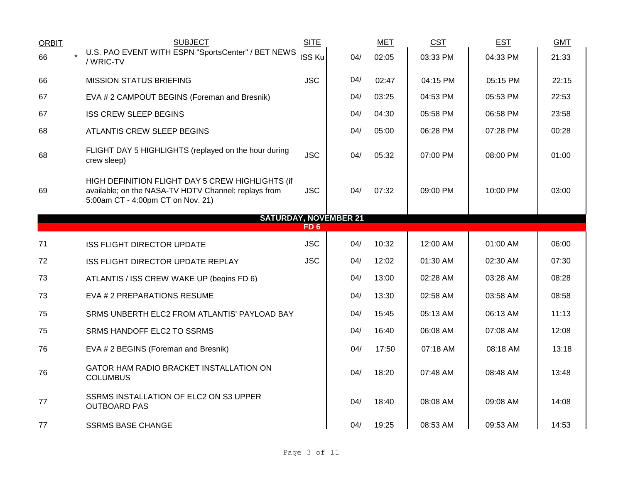| <b>ORBIT</b> | <b>SUBJECT</b>                                                                                                                                | <b>SITE</b>     |     | <b>MET</b> | <b>CST</b> | <b>EST</b> | <b>GMT</b> |
|--------------|-----------------------------------------------------------------------------------------------------------------------------------------------|-----------------|-----|------------|------------|------------|------------|
| 66           | U.S. PAO EVENT WITH ESPN "SportsCenter" / BET NEWS<br>/ WRIC-TV                                                                               | <b>ISS Ku</b>   | 04/ | 02:05      | 03:33 PM   | 04:33 PM   | 21:33      |
| 66           | <b>MISSION STATUS BRIEFING</b>                                                                                                                | <b>JSC</b>      | 04/ | 02:47      | 04:15 PM   | 05:15 PM   | 22:15      |
| 67           | EVA # 2 CAMPOUT BEGINS (Foreman and Bresnik)                                                                                                  |                 | 04/ | 03:25      | 04:53 PM   | 05:53 PM   | 22:53      |
| 67           | <b>ISS CREW SLEEP BEGINS</b>                                                                                                                  |                 | 04/ | 04:30      | 05:58 PM   | 06:58 PM   | 23:58      |
| 68           | <b>ATLANTIS CREW SLEEP BEGINS</b>                                                                                                             |                 | 04/ | 05:00      | 06:28 PM   | 07:28 PM   | 00:28      |
| 68           | FLIGHT DAY 5 HIGHLIGHTS (replayed on the hour during<br>crew sleep)                                                                           | <b>JSC</b>      | 04/ | 05:32      | 07:00 PM   | 08:00 PM   | 01:00      |
| 69           | HIGH DEFINITION FLIGHT DAY 5 CREW HIGHLIGHTS (if<br>available; on the NASA-TV HDTV Channel; replays from<br>5:00am CT - 4:00pm CT on Nov. 21) | <b>JSC</b>      | 04/ | 07:32      | 09:00 PM   | 10:00 PM   | 03:00      |
|              | <b>SATURDAY, NOVEMBER 21</b>                                                                                                                  |                 |     |            |            |            |            |
|              |                                                                                                                                               | FD <sub>6</sub> |     |            |            |            |            |
| 71           | <b>ISS FLIGHT DIRECTOR UPDATE</b>                                                                                                             | <b>JSC</b>      | 04/ | 10:32      | 12:00 AM   | 01:00 AM   | 06:00      |
| 72           | ISS FLIGHT DIRECTOR UPDATE REPLAY                                                                                                             | <b>JSC</b>      | 04/ | 12:02      | 01:30 AM   | 02:30 AM   | 07:30      |
| 73           | ATLANTIS / ISS CREW WAKE UP (begins FD 6)                                                                                                     |                 | 04/ | 13:00      | 02:28 AM   | 03:28 AM   | 08:28      |
| 73           | EVA # 2 PREPARATIONS RESUME                                                                                                                   |                 | 04/ | 13:30      | 02:58 AM   | 03:58 AM   | 08:58      |
| 75           | SRMS UNBERTH ELC2 FROM ATLANTIS' PAYLOAD BAY                                                                                                  |                 | 04/ | 15:45      | 05:13 AM   | 06:13 AM   | 11:13      |
| 75           | SRMS HANDOFF ELC2 TO SSRMS                                                                                                                    |                 | 04/ | 16:40      | 06:08 AM   | 07:08 AM   | 12:08      |
| 76           | EVA # 2 BEGINS (Foreman and Bresnik)                                                                                                          |                 | 04/ | 17:50      | 07:18 AM   | 08:18 AM   | 13:18      |
| 76           |                                                                                                                                               |                 |     |            |            |            |            |
|              | GATOR HAM RADIO BRACKET INSTALLATION ON<br><b>COLUMBUS</b>                                                                                    |                 | 04/ | 18:20      | 07:48 AM   | 08:48 AM   | 13:48      |
| 77           | SSRMS INSTALLATION OF ELC2 ON S3 UPPER<br><b>OUTBOARD PAS</b>                                                                                 |                 | 04/ | 18:40      | 08:08 AM   | 09:08 AM   | 14:08      |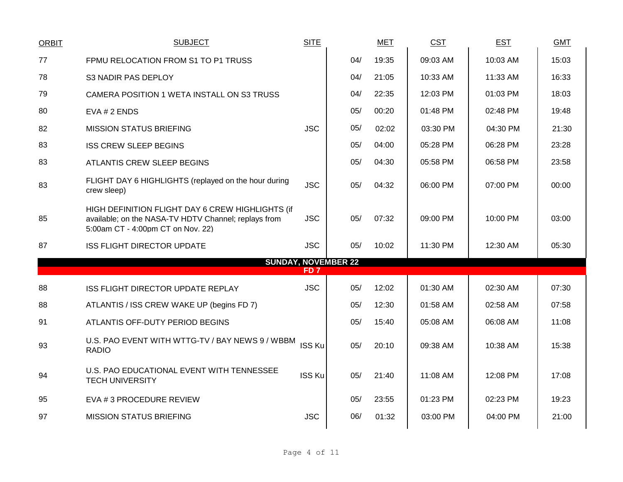| <b>ORBIT</b> | <b>SUBJECT</b>                                                                                                                                | <b>SITE</b>     |                            | <b>MET</b> | <b>CST</b> | <b>EST</b> | <b>GMT</b> |
|--------------|-----------------------------------------------------------------------------------------------------------------------------------------------|-----------------|----------------------------|------------|------------|------------|------------|
| 77           | FPMU RELOCATION FROM S1 TO P1 TRUSS                                                                                                           |                 | 04/                        | 19:35      | 09:03 AM   | 10:03 AM   | 15:03      |
| 78           | S3 NADIR PAS DEPLOY                                                                                                                           |                 | 04/                        | 21:05      | 10:33 AM   | 11:33 AM   | 16:33      |
| 79           | CAMERA POSITION 1 WETA INSTALL ON S3 TRUSS                                                                                                    |                 | 04/                        | 22:35      | 12:03 PM   | 01:03 PM   | 18:03      |
| 80           | EVA # 2 ENDS                                                                                                                                  |                 | 05/                        | 00:20      | 01:48 PM   | 02:48 PM   | 19:48      |
| 82           | <b>MISSION STATUS BRIEFING</b>                                                                                                                | <b>JSC</b>      | 05/                        | 02:02      | 03:30 PM   | 04:30 PM   | 21:30      |
| 83           | <b>ISS CREW SLEEP BEGINS</b>                                                                                                                  |                 | 05/                        | 04:00      | 05:28 PM   | 06:28 PM   | 23:28      |
| 83           | ATLANTIS CREW SLEEP BEGINS                                                                                                                    |                 | 05/                        | 04:30      | 05:58 PM   | 06:58 PM   | 23:58      |
| 83           | FLIGHT DAY 6 HIGHLIGHTS (replayed on the hour during<br>crew sleep)                                                                           | <b>JSC</b>      | 05/                        | 04:32      | 06:00 PM   | 07:00 PM   | 00:00      |
| 85           | HIGH DEFINITION FLIGHT DAY 6 CREW HIGHLIGHTS (if<br>available; on the NASA-TV HDTV Channel; replays from<br>5:00am CT - 4:00pm CT on Nov. 22) | <b>JSC</b>      | 05/                        | 07:32      | 09:00 PM   | 10:00 PM   | 03:00      |
| 87           | <b>ISS FLIGHT DIRECTOR UPDATE</b>                                                                                                             | <b>JSC</b>      | 05/                        | 10:02      | 11:30 PM   | 12:30 AM   | 05:30      |
|              |                                                                                                                                               | FD <sub>7</sub> | <b>SUNDAY, NOVEMBER 22</b> |            |            |            |            |
| 88           | ISS FLIGHT DIRECTOR UPDATE REPLAY                                                                                                             | <b>JSC</b>      | 05/                        | 12:02      | 01:30 AM   | 02:30 AM   | 07:30      |
| 88           | ATLANTIS / ISS CREW WAKE UP (begins FD 7)                                                                                                     |                 | 05/                        | 12:30      | 01:58 AM   | 02:58 AM   | 07:58      |
| 91           | ATLANTIS OFF-DUTY PERIOD BEGINS                                                                                                               |                 | 05/                        | 15:40      | 05:08 AM   | 06:08 AM   | 11:08      |
| 93           | U.S. PAO EVENT WITH WTTG-TV / BAY NEWS 9 / WBBM<br><b>RADIO</b>                                                                               | <b>ISS Ku</b>   | 05/                        | 20:10      | 09:38 AM   | 10:38 AM   | 15:38      |
| 94           | U.S. PAO EDUCATIONAL EVENT WITH TENNESSEE<br><b>TECH UNIVERSITY</b>                                                                           | <b>ISS Ku</b>   | 05/                        | 21:40      | 11:08 AM   | 12:08 PM   | 17:08      |
| 95           | EVA # 3 PROCEDURE REVIEW                                                                                                                      |                 | 05/                        | 23:55      | 01:23 PM   | 02:23 PM   | 19:23      |
| 97           | <b>MISSION STATUS BRIEFING</b>                                                                                                                | <b>JSC</b>      | 06/                        | 01:32      | 03:00 PM   | 04:00 PM   | 21:00      |
|              |                                                                                                                                               |                 |                            |            |            |            |            |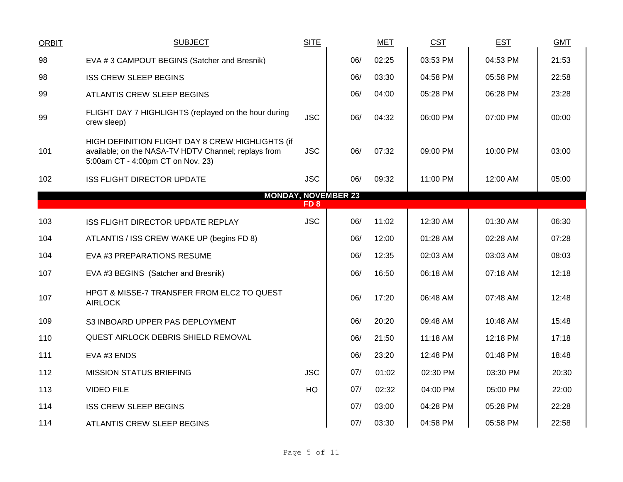| <b>ORBIT</b>                                  | <b>SUBJECT</b>                                                                                                                                | <b>SITE</b> |     | <b>MET</b> | <b>CST</b> | <b>EST</b> | <b>GMT</b> |  |  |
|-----------------------------------------------|-----------------------------------------------------------------------------------------------------------------------------------------------|-------------|-----|------------|------------|------------|------------|--|--|
| 98                                            | EVA #3 CAMPOUT BEGINS (Satcher and Bresnik)                                                                                                   |             | 06/ | 02:25      | 03:53 PM   | 04:53 PM   | 21:53      |  |  |
| 98                                            | <b>ISS CREW SLEEP BEGINS</b>                                                                                                                  |             | 06/ | 03:30      | 04:58 PM   | 05:58 PM   | 22:58      |  |  |
| 99                                            | <b>ATLANTIS CREW SLEEP BEGINS</b>                                                                                                             |             | 06/ | 04:00      | 05:28 PM   | 06:28 PM   | 23:28      |  |  |
| 99                                            | FLIGHT DAY 7 HIGHLIGHTS (replayed on the hour during<br>crew sleep)                                                                           | <b>JSC</b>  | 06/ | 04:32      | 06:00 PM   | 07:00 PM   | 00:00      |  |  |
| 101                                           | HIGH DEFINITION FLIGHT DAY 8 CREW HIGHLIGHTS (if<br>available; on the NASA-TV HDTV Channel; replays from<br>5:00am CT - 4:00pm CT on Nov. 23) | <b>JSC</b>  | 06/ | 07:32      | 09:00 PM   | 10:00 PM   | 03:00      |  |  |
| 102                                           | <b>ISS FLIGHT DIRECTOR UPDATE</b>                                                                                                             | <b>JSC</b>  | 06/ | 09:32      | 11:00 PM   | 12:00 AM   | 05:00      |  |  |
| <b>MONDAY, NOVEMBER 23</b><br>FD <sub>8</sub> |                                                                                                                                               |             |     |            |            |            |            |  |  |
| 103                                           | ISS FLIGHT DIRECTOR UPDATE REPLAY                                                                                                             | <b>JSC</b>  | 06/ | 11:02      | 12:30 AM   | 01:30 AM   | 06:30      |  |  |
| 104                                           | ATLANTIS / ISS CREW WAKE UP (begins FD 8)                                                                                                     |             | 06/ | 12:00      | 01:28 AM   | 02:28 AM   | 07:28      |  |  |
| 104                                           | EVA #3 PREPARATIONS RESUME                                                                                                                    |             | 06/ | 12:35      | 02:03 AM   | 03:03 AM   | 08:03      |  |  |
| 107                                           | EVA #3 BEGINS (Satcher and Bresnik)                                                                                                           |             | 06/ | 16:50      | 06:18 AM   | 07:18 AM   | 12:18      |  |  |
| 107                                           | HPGT & MISSE-7 TRANSFER FROM ELC2 TO QUEST<br><b>AIRLOCK</b>                                                                                  |             | 06/ | 17:20      | 06:48 AM   | 07:48 AM   | 12:48      |  |  |
| 109                                           | S3 INBOARD UPPER PAS DEPLOYMENT                                                                                                               |             | 06/ | 20:20      | 09:48 AM   | 10:48 AM   | 15:48      |  |  |
| 110                                           | <b>QUEST AIRLOCK DEBRIS SHIELD REMOVAL</b>                                                                                                    |             | 06/ | 21:50      | 11:18 AM   | 12:18 PM   | 17:18      |  |  |
| 111                                           | EVA #3 ENDS                                                                                                                                   |             | 06/ | 23:20      | 12:48 PM   | 01:48 PM   | 18:48      |  |  |
| 112                                           | <b>MISSION STATUS BRIEFING</b>                                                                                                                | <b>JSC</b>  | 07/ | 01:02      | 02:30 PM   | 03:30 PM   | 20:30      |  |  |
| 113                                           | <b>VIDEO FILE</b>                                                                                                                             | <b>HQ</b>   | 07/ | 02:32      | 04:00 PM   | 05:00 PM   | 22:00      |  |  |
| 114                                           | <b>ISS CREW SLEEP BEGINS</b>                                                                                                                  |             | 07/ | 03:00      | 04:28 PM   | 05:28 PM   | 22:28      |  |  |
| 114                                           | <b>ATLANTIS CREW SLEEP BEGINS</b>                                                                                                             |             | 07/ | 03:30      | 04:58 PM   | 05:58 PM   | 22:58      |  |  |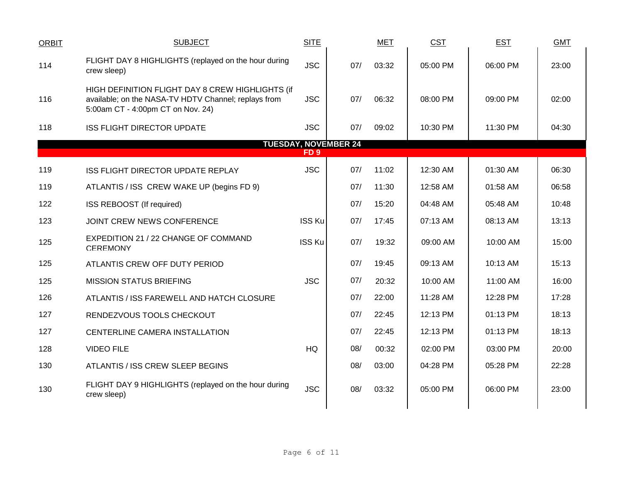| <b>ORBIT</b> | <b>SUBJECT</b>                                                                                                                                | <b>SITE</b>     |                             | <b>MET</b> | <b>CST</b> | <b>EST</b> | <b>GMT</b> |
|--------------|-----------------------------------------------------------------------------------------------------------------------------------------------|-----------------|-----------------------------|------------|------------|------------|------------|
| 114          | FLIGHT DAY 8 HIGHLIGHTS (replayed on the hour during<br>crew sleep)                                                                           | <b>JSC</b>      | 07/                         | 03:32      | 05:00 PM   | 06:00 PM   | 23:00      |
| 116          | HIGH DEFINITION FLIGHT DAY 8 CREW HIGHLIGHTS (if<br>available; on the NASA-TV HDTV Channel; replays from<br>5:00am CT - 4:00pm CT on Nov. 24) | <b>JSC</b>      | 07/                         | 06:32      | 08:00 PM   | 09:00 PM   | 02:00      |
| 118          | <b>ISS FLIGHT DIRECTOR UPDATE</b>                                                                                                             | <b>JSC</b>      | 07/                         | 09:02      | 10:30 PM   | 11:30 PM   | 04:30      |
|              |                                                                                                                                               |                 | <b>TUESDAY, NOVEMBER 24</b> |            |            |            |            |
|              |                                                                                                                                               | FD <sub>9</sub> |                             |            |            |            |            |
| 119          | <b>ISS FLIGHT DIRECTOR UPDATE REPLAY</b>                                                                                                      | <b>JSC</b>      | 07/                         | 11:02      | 12:30 AM   | 01:30 AM   | 06:30      |
| 119          | ATLANTIS / ISS CREW WAKE UP (begins FD 9)                                                                                                     |                 | 07/                         | 11:30      | 12:58 AM   | 01:58 AM   | 06:58      |
| 122          | ISS REBOOST (If required)                                                                                                                     |                 | 07/                         | 15:20      | 04:48 AM   | 05:48 AM   | 10:48      |
| 123          | JOINT CREW NEWS CONFERENCE                                                                                                                    | <b>ISS Ku</b>   | 07/                         | 17:45      | 07:13 AM   | 08:13 AM   | 13:13      |
| 125          | EXPEDITION 21 / 22 CHANGE OF COMMAND<br><b>CEREMONY</b>                                                                                       | <b>ISS Ku</b>   | 07/                         | 19:32      | 09:00 AM   | 10:00 AM   | 15:00      |
| 125          | ATLANTIS CREW OFF DUTY PERIOD                                                                                                                 |                 | 07/                         | 19:45      | 09:13 AM   | 10:13 AM   | 15:13      |
| 125          | <b>MISSION STATUS BRIEFING</b>                                                                                                                | <b>JSC</b>      | 07/                         | 20:32      | 10:00 AM   | 11:00 AM   | 16:00      |
| 126          | ATLANTIS / ISS FAREWELL AND HATCH CLOSURE                                                                                                     |                 | 07/                         | 22:00      | 11:28 AM   | 12:28 PM   | 17:28      |
| 127          | RENDEZVOUS TOOLS CHECKOUT                                                                                                                     |                 | 07/                         | 22:45      | 12:13 PM   | 01:13 PM   | 18:13      |
| 127          | CENTERLINE CAMERA INSTALLATION                                                                                                                |                 | 07/                         | 22:45      | 12:13 PM   | 01:13 PM   | 18:13      |
| 128          | <b>VIDEO FILE</b>                                                                                                                             | HQ              | 08/                         | 00:32      | 02:00 PM   | 03:00 PM   | 20:00      |
| 130          | ATLANTIS / ISS CREW SLEEP BEGINS                                                                                                              |                 | 08/                         | 03:00      | 04:28 PM   | 05:28 PM   | 22:28      |
| 130          | FLIGHT DAY 9 HIGHLIGHTS (replayed on the hour during<br>crew sleep)                                                                           | <b>JSC</b>      | 08/                         | 03:32      | 05:00 PM   | 06:00 PM   | 23:00      |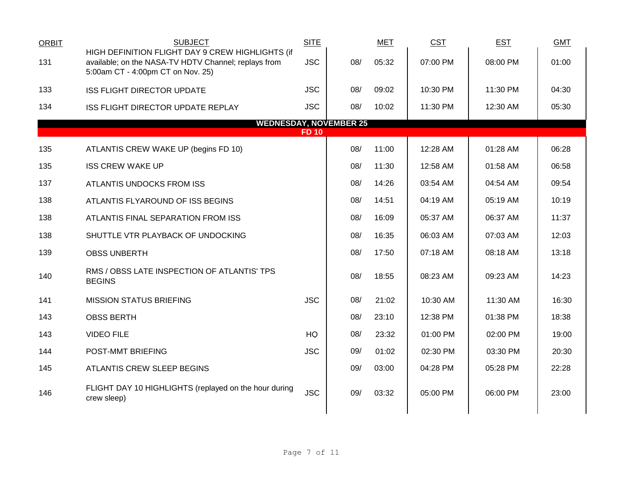| <b>ORBIT</b> | <b>SUBJECT</b>                                                                                                                                | <b>SITE</b>  |     | <b>MET</b> | <b>CST</b> | <b>EST</b> | <b>GMT</b> |
|--------------|-----------------------------------------------------------------------------------------------------------------------------------------------|--------------|-----|------------|------------|------------|------------|
| 131          | HIGH DEFINITION FLIGHT DAY 9 CREW HIGHLIGHTS (if<br>available; on the NASA-TV HDTV Channel; replays from<br>5:00am CT - 4:00pm CT on Nov. 25) | <b>JSC</b>   | 08/ | 05:32      | 07:00 PM   | 08:00 PM   | 01:00      |
| 133          | <b>ISS FLIGHT DIRECTOR UPDATE</b>                                                                                                             | <b>JSC</b>   | 08/ | 09:02      | 10:30 PM   | 11:30 PM   | 04:30      |
| 134          | ISS FLIGHT DIRECTOR UPDATE REPLAY                                                                                                             | <b>JSC</b>   | 08/ | 10:02      | 11:30 PM   | 12:30 AM   | 05:30      |
|              | <b>WEDNESDAY, NOVEMBER 25</b>                                                                                                                 | <b>FD 10</b> |     |            |            |            |            |
|              |                                                                                                                                               |              |     |            |            |            |            |
| 135          | ATLANTIS CREW WAKE UP (begins FD 10)                                                                                                          |              | 08/ | 11:00      | 12:28 AM   | 01:28 AM   | 06:28      |
| 135          | <b>ISS CREW WAKE UP</b>                                                                                                                       |              | 08/ | 11:30      | 12:58 AM   | 01:58 AM   | 06:58      |
| 137          | ATLANTIS UNDOCKS FROM ISS                                                                                                                     |              | 08/ | 14:26      | 03:54 AM   | 04:54 AM   | 09:54      |
| 138          | ATLANTIS FLYAROUND OF ISS BEGINS                                                                                                              |              | 08/ | 14:51      | 04:19 AM   | 05:19 AM   | 10:19      |
| 138          | ATLANTIS FINAL SEPARATION FROM ISS                                                                                                            |              | 08/ | 16:09      | 05:37 AM   | 06:37 AM   | 11:37      |
| 138          | SHUTTLE VTR PLAYBACK OF UNDOCKING                                                                                                             |              | 08/ | 16:35      | 06:03 AM   | 07:03 AM   | 12:03      |
| 139          | <b>OBSS UNBERTH</b>                                                                                                                           |              | 08/ | 17:50      | 07:18 AM   | 08:18 AM   | 13:18      |
| 140          | RMS / OBSS LATE INSPECTION OF ATLANTIS' TPS<br><b>BEGINS</b>                                                                                  |              | 08/ | 18:55      | 08:23 AM   | 09:23 AM   | 14:23      |
| 141          | <b>MISSION STATUS BRIEFING</b>                                                                                                                | <b>JSC</b>   | 08/ | 21:02      | 10:30 AM   | 11:30 AM   | 16:30      |
| 143          | <b>OBSS BERTH</b>                                                                                                                             |              | 08/ | 23:10      | 12:38 PM   | 01:38 PM   | 18:38      |
| 143          | <b>VIDEO FILE</b>                                                                                                                             | HQ           | 08/ | 23:32      | 01:00 PM   | 02:00 PM   | 19:00      |
| 144          | POST-MMT BRIEFING                                                                                                                             | <b>JSC</b>   | 09/ | 01:02      | 02:30 PM   | 03:30 PM   | 20:30      |
| 145          | <b>ATLANTIS CREW SLEEP BEGINS</b>                                                                                                             |              | 09/ | 03:00      | 04:28 PM   | 05:28 PM   | 22:28      |
| 146          | FLIGHT DAY 10 HIGHLIGHTS (replayed on the hour during<br>crew sleep)                                                                          | <b>JSC</b>   | 09/ | 03:32      | 05:00 PM   | 06:00 PM   | 23:00      |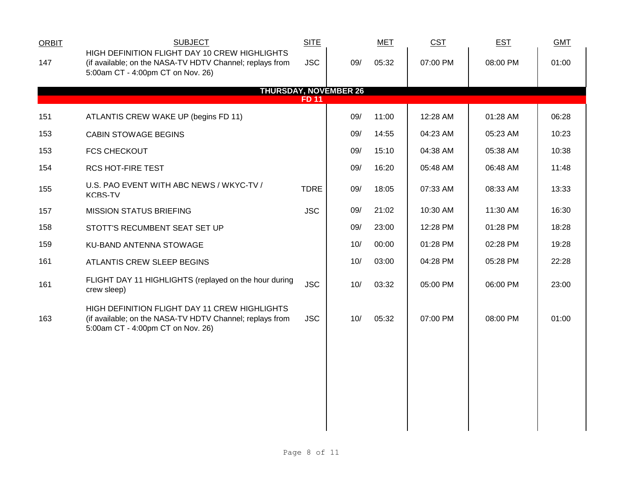| <b>ORBIT</b> | <b>SUBJECT</b>                                                                                                                                 | <b>SITE</b>  |                              | <b>MET</b> | CST      | <b>EST</b> | <b>GMT</b> |  |
|--------------|------------------------------------------------------------------------------------------------------------------------------------------------|--------------|------------------------------|------------|----------|------------|------------|--|
| 147          | HIGH DEFINITION FLIGHT DAY 10 CREW HIGHLIGHTS<br>(if available; on the NASA-TV HDTV Channel; replays from<br>5:00am CT - 4:00pm CT on Nov. 26) | <b>JSC</b>   | 09/                          | 05:32      | 07:00 PM | 08:00 PM   | 01:00      |  |
|              |                                                                                                                                                | <b>FD 11</b> | <b>THURSDAY, NOVEMBER 26</b> |            |          |            |            |  |
| 151          | ATLANTIS CREW WAKE UP (begins FD 11)                                                                                                           |              | 09/                          | 11:00      | 12:28 AM | 01:28 AM   | 06:28      |  |
| 153          | <b>CABIN STOWAGE BEGINS</b>                                                                                                                    |              | 09/                          | 14:55      | 04:23 AM | 05:23 AM   | 10:23      |  |
| 153          | <b>FCS CHECKOUT</b>                                                                                                                            |              | 09/                          | 15:10      | 04:38 AM | 05:38 AM   | 10:38      |  |
| 154          | <b>RCS HOT-FIRE TEST</b>                                                                                                                       |              | 09/                          | 16:20      | 05:48 AM | 06:48 AM   | 11:48      |  |
| 155          | U.S. PAO EVENT WITH ABC NEWS / WKYC-TV /<br><b>KCBS-TV</b>                                                                                     | <b>TDRE</b>  | 09/                          | 18:05      | 07:33 AM | 08:33 AM   | 13:33      |  |
| 157          | <b>MISSION STATUS BRIEFING</b>                                                                                                                 | <b>JSC</b>   | 09/                          | 21:02      | 10:30 AM | 11:30 AM   | 16:30      |  |
| 158          | STOTT'S RECUMBENT SEAT SET UP                                                                                                                  |              | 09/                          | 23:00      | 12:28 PM | 01:28 PM   | 18:28      |  |
| 159          | KU-BAND ANTENNA STOWAGE                                                                                                                        |              | 10/                          | 00:00      | 01:28 PM | 02:28 PM   | 19:28      |  |
| 161          | ATLANTIS CREW SLEEP BEGINS                                                                                                                     |              | 10/                          | 03:00      | 04:28 PM | 05:28 PM   | 22:28      |  |
| 161          | FLIGHT DAY 11 HIGHLIGHTS (replayed on the hour during<br>crew sleep)                                                                           | <b>JSC</b>   | 10/                          | 03:32      | 05:00 PM | 06:00 PM   | 23:00      |  |
| 163          | HIGH DEFINITION FLIGHT DAY 11 CREW HIGHLIGHTS<br>(if available; on the NASA-TV HDTV Channel; replays from<br>5:00am CT - 4:00pm CT on Nov. 26) | <b>JSC</b>   | 10/                          | 05:32      | 07:00 PM | 08:00 PM   | 01:00      |  |
|              |                                                                                                                                                |              |                              |            |          |            |            |  |
|              |                                                                                                                                                |              |                              |            |          |            |            |  |
|              |                                                                                                                                                |              |                              |            |          |            |            |  |
|              |                                                                                                                                                |              |                              |            |          |            |            |  |
|              |                                                                                                                                                |              |                              |            |          |            |            |  |
|              |                                                                                                                                                |              |                              |            |          |            |            |  |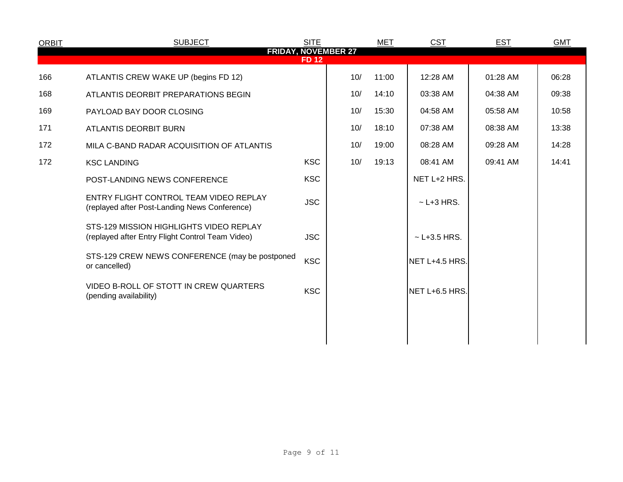| <b>ORBIT</b> | <b>SUBJECT</b>                                                                              | <b>SITE</b>  |     | <b>MET</b> | <b>CST</b>       | <b>EST</b> | <b>GMT</b> |
|--------------|---------------------------------------------------------------------------------------------|--------------|-----|------------|------------------|------------|------------|
|              | <b>FRIDAY, NOVEMBER 27</b>                                                                  | <b>FD 12</b> |     |            |                  |            |            |
| 166          | ATLANTIS CREW WAKE UP (begins FD 12)                                                        |              | 10/ | 11:00      | 12:28 AM         | 01:28 AM   | 06:28      |
| 168          | ATLANTIS DEORBIT PREPARATIONS BEGIN                                                         |              | 10/ | 14:10      | 03:38 AM         | 04:38 AM   | 09:38      |
| 169          | PAYLOAD BAY DOOR CLOSING                                                                    |              | 10/ | 15:30      | 04:58 AM         | 05:58 AM   | 10:58      |
| 171          | <b>ATLANTIS DEORBIT BURN</b>                                                                |              | 10/ | 18:10      | 07:38 AM         | 08:38 AM   | 13:38      |
| 172          | MILA C-BAND RADAR ACQUISITION OF ATLANTIS                                                   |              | 10/ | 19:00      | 08:28 AM         | 09:28 AM   | 14:28      |
| 172          | <b>KSC LANDING</b>                                                                          | <b>KSC</b>   | 10/ | 19:13      | 08:41 AM         | 09:41 AM   | 14:41      |
|              | POST-LANDING NEWS CONFERENCE                                                                | <b>KSC</b>   |     |            | NET L+2 HRS.     |            |            |
|              | ENTRY FLIGHT CONTROL TEAM VIDEO REPLAY<br>(replayed after Post-Landing News Conference)     | <b>JSC</b>   |     |            | $\sim$ L+3 HRS.  |            |            |
|              | STS-129 MISSION HIGHLIGHTS VIDEO REPLAY<br>(replayed after Entry Flight Control Team Video) | <b>JSC</b>   |     |            | $~$ - L+3.5 HRS. |            |            |
|              | STS-129 CREW NEWS CONFERENCE (may be postponed<br>or cancelled)                             | <b>KSC</b>   |     |            | NET L+4.5 HRS.   |            |            |
|              | VIDEO B-ROLL OF STOTT IN CREW QUARTERS<br>(pending availability)                            | <b>KSC</b>   |     |            | NET L+6.5 HRS.   |            |            |
|              |                                                                                             |              |     |            |                  |            |            |
|              |                                                                                             |              |     |            |                  |            |            |
|              |                                                                                             |              |     |            |                  |            |            |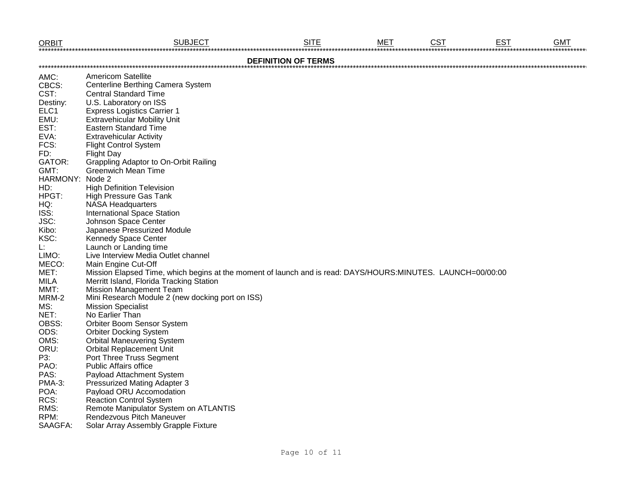| <b>ORBIT</b>    | <b>SUBJECT</b>                                                                                              | <b>SITE</b>                | <b>MET</b> | <b>CST</b> | <b>EST</b> | <b>GMT</b> |
|-----------------|-------------------------------------------------------------------------------------------------------------|----------------------------|------------|------------|------------|------------|
|                 |                                                                                                             | <b>DEFINITION OF TERMS</b> |            |            |            |            |
| AMC:            | <b>Americom Satellite</b>                                                                                   |                            |            |            |            |            |
| CBCS:           | Centerline Berthing Camera System                                                                           |                            |            |            |            |            |
| CST:            | <b>Central Standard Time</b>                                                                                |                            |            |            |            |            |
| Destiny:        | U.S. Laboratory on ISS                                                                                      |                            |            |            |            |            |
| ELC1            | <b>Express Logistics Carrier 1</b>                                                                          |                            |            |            |            |            |
| EMU:            | <b>Extravehicular Mobility Unit</b>                                                                         |                            |            |            |            |            |
| EST:            | <b>Eastern Standard Time</b>                                                                                |                            |            |            |            |            |
| EVA:            | <b>Extravehicular Activity</b>                                                                              |                            |            |            |            |            |
| FCS:            | <b>Flight Control System</b>                                                                                |                            |            |            |            |            |
| FD:             | <b>Flight Day</b>                                                                                           |                            |            |            |            |            |
| GATOR:          | <b>Grappling Adaptor to On-Orbit Railing</b>                                                                |                            |            |            |            |            |
| GMT:            | <b>Greenwich Mean Time</b>                                                                                  |                            |            |            |            |            |
| HARMONY: Node 2 |                                                                                                             |                            |            |            |            |            |
| HD:             | <b>High Definition Television</b>                                                                           |                            |            |            |            |            |
| HPGT:           | <b>High Pressure Gas Tank</b>                                                                               |                            |            |            |            |            |
| HQ:             | <b>NASA Headquarters</b>                                                                                    |                            |            |            |            |            |
| ISS:            | <b>International Space Station</b>                                                                          |                            |            |            |            |            |
| JSC:            | Johnson Space Center                                                                                        |                            |            |            |            |            |
| Kibo:           | Japanese Pressurized Module                                                                                 |                            |            |            |            |            |
| KSC:            | <b>Kennedy Space Center</b>                                                                                 |                            |            |            |            |            |
| L.              | Launch or Landing time                                                                                      |                            |            |            |            |            |
| LIMO:           | Live Interview Media Outlet channel                                                                         |                            |            |            |            |            |
| MECO:           | Main Engine Cut-Off                                                                                         |                            |            |            |            |            |
| MET:            | Mission Elapsed Time, which begins at the moment of launch and is read: DAYS/HOURS:MINUTES. LAUNCH=00/00:00 |                            |            |            |            |            |
| MILA            | Merritt Island, Florida Tracking Station                                                                    |                            |            |            |            |            |
| MMT:            | <b>Mission Management Team</b>                                                                              |                            |            |            |            |            |
| MRM-2           | Mini Research Module 2 (new docking port on ISS)                                                            |                            |            |            |            |            |
| MS:             | <b>Mission Specialist</b>                                                                                   |                            |            |            |            |            |
| NET:            | No Earlier Than                                                                                             |                            |            |            |            |            |
| OBSS:           | Orbiter Boom Sensor System                                                                                  |                            |            |            |            |            |
| ODS:            | <b>Orbiter Docking System</b>                                                                               |                            |            |            |            |            |
| OMS:            | <b>Orbital Maneuvering System</b>                                                                           |                            |            |            |            |            |
| ORU:            | <b>Orbital Replacement Unit</b>                                                                             |                            |            |            |            |            |
| P3:             | Port Three Truss Segment                                                                                    |                            |            |            |            |            |
| PAO:            | <b>Public Affairs office</b>                                                                                |                            |            |            |            |            |
| PAS:            | Payload Attachment System                                                                                   |                            |            |            |            |            |
| <b>PMA-3:</b>   | <b>Pressurized Mating Adapter 3</b>                                                                         |                            |            |            |            |            |
| POA:            | Payload ORU Accomodation                                                                                    |                            |            |            |            |            |
| RCS:            | <b>Reaction Control System</b>                                                                              |                            |            |            |            |            |
| RMS:            | Remote Manipulator System on ATLANTIS                                                                       |                            |            |            |            |            |
| RPM:            | Rendezvous Pitch Maneuver                                                                                   |                            |            |            |            |            |
| SAAGFA:         | Solar Array Assembly Grapple Fixture                                                                        |                            |            |            |            |            |